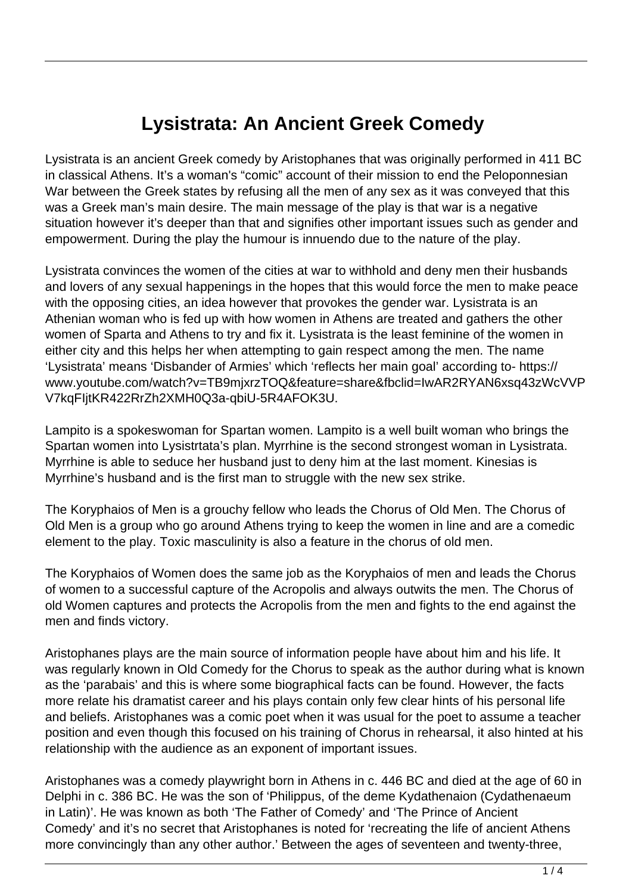## **Lysistrata: An Ancient Greek Comedy**

Lysistrata is an ancient Greek comedy by Aristophanes that was originally performed in 411 BC in classical Athens. It's a woman's "comic" account of their mission to end the Peloponnesian War between the Greek states by refusing all the men of any sex as it was conveyed that this was a Greek man's main desire. The main message of the play is that war is a negative situation however it's deeper than that and signifies other important issues such as gender and empowerment. During the play the humour is innuendo due to the nature of the play.

Lysistrata convinces the women of the cities at war to withhold and deny men their husbands and lovers of any sexual happenings in the hopes that this would force the men to make peace with the opposing cities, an idea however that provokes the gender war. Lysistrata is an Athenian woman who is fed up with how women in Athens are treated and gathers the other women of Sparta and Athens to try and fix it. Lysistrata is the least feminine of the women in either city and this helps her when attempting to gain respect among the men. The name 'Lysistrata' means 'Disbander of Armies' which 'reflects her main goal' according to- https:// www.youtube.com/watch?v=TB9mjxrzTOQ&feature=share&fbclid=IwAR2RYAN6xsq43zWcVVP V7kqFIjtKR422RrZh2XMH0Q3a-qbiU-5R4AFOK3U.

Lampito is a spokeswoman for Spartan women. Lampito is a well built woman who brings the Spartan women into Lysistrtata's plan. Myrrhine is the second strongest woman in Lysistrata. Myrrhine is able to seduce her husband just to deny him at the last moment. Kinesias is Myrrhine's husband and is the first man to struggle with the new sex strike.

The Koryphaios of Men is a grouchy fellow who leads the Chorus of Old Men. The Chorus of Old Men is a group who go around Athens trying to keep the women in line and are a comedic element to the play. Toxic masculinity is also a feature in the chorus of old men.

The Koryphaios of Women does the same job as the Koryphaios of men and leads the Chorus of women to a successful capture of the Acropolis and always outwits the men. The Chorus of old Women captures and protects the Acropolis from the men and fights to the end against the men and finds victory.

Aristophanes plays are the main source of information people have about him and his life. It was regularly known in Old Comedy for the Chorus to speak as the author during what is known as the 'parabais' and this is where some biographical facts can be found. However, the facts more relate his dramatist career and his plays contain only few clear hints of his personal life and beliefs. Aristophanes was a comic poet when it was usual for the poet to assume a teacher position and even though this focused on his training of Chorus in rehearsal, it also hinted at his relationship with the audience as an exponent of important issues.

Aristophanes was a comedy playwright born in Athens in c. 446 BC and died at the age of 60 in Delphi in c. 386 BC. He was the son of 'Philippus, of the deme Kydathenaion (Cydathenaeum in Latin)'. He was known as both 'The Father of Comedy' and 'The Prince of Ancient Comedy' and it's no secret that Aristophanes is noted for 'recreating the life of ancient Athens more convincingly than any other author.' Between the ages of seventeen and twenty-three,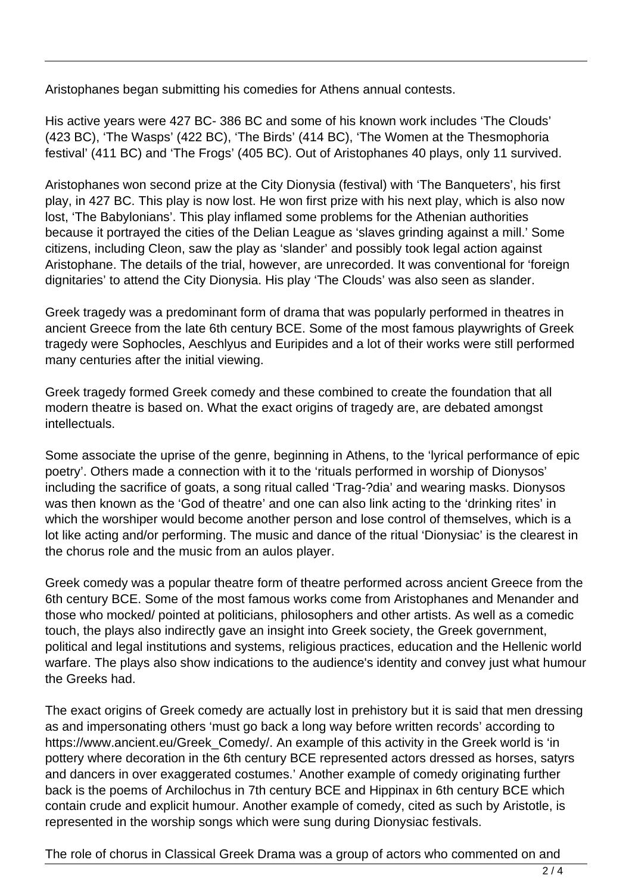Aristophanes began submitting his comedies for Athens annual contests.

His active years were 427 BC- 386 BC and some of his known work includes 'The Clouds' (423 BC), 'The Wasps' (422 BC), 'The Birds' (414 BC), 'The Women at the Thesmophoria festival' (411 BC) and 'The Frogs' (405 BC). Out of Aristophanes 40 plays, only 11 survived.

Aristophanes won second prize at the City Dionysia (festival) with 'The Banqueters', his first play, in 427 BC. This play is now lost. He won first prize with his next play, which is also now lost, 'The Babylonians'. This play inflamed some problems for the Athenian authorities because it portrayed the cities of the Delian League as 'slaves grinding against a mill.' Some citizens, including Cleon, saw the play as 'slander' and possibly took legal action against Aristophane. The details of the trial, however, are unrecorded. It was conventional for 'foreign dignitaries' to attend the City Dionysia. His play 'The Clouds' was also seen as slander.

Greek tragedy was a predominant form of drama that was popularly performed in theatres in ancient Greece from the late 6th century BCE. Some of the most famous playwrights of Greek tragedy were Sophocles, Aeschlyus and Euripides and a lot of their works were still performed many centuries after the initial viewing.

Greek tragedy formed Greek comedy and these combined to create the foundation that all modern theatre is based on. What the exact origins of tragedy are, are debated amongst intellectuals.

Some associate the uprise of the genre, beginning in Athens, to the 'lyrical performance of epic poetry'. Others made a connection with it to the 'rituals performed in worship of Dionysos' including the sacrifice of goats, a song ritual called 'Trag-?dia' and wearing masks. Dionysos was then known as the 'God of theatre' and one can also link acting to the 'drinking rites' in which the worshiper would become another person and lose control of themselves, which is a lot like acting and/or performing. The music and dance of the ritual 'Dionysiac' is the clearest in the chorus role and the music from an aulos player.

Greek comedy was a popular theatre form of theatre performed across ancient Greece from the 6th century BCE. Some of the most famous works come from Aristophanes and Menander and those who mocked/ pointed at politicians, philosophers and other artists. As well as a comedic touch, the plays also indirectly gave an insight into Greek society, the Greek government, political and legal institutions and systems, religious practices, education and the Hellenic world warfare. The plays also show indications to the audience's identity and convey just what humour the Greeks had.

The exact origins of Greek comedy are actually lost in prehistory but it is said that men dressing as and impersonating others 'must go back a long way before written records' according to https://www.ancient.eu/Greek\_Comedy/. An example of this activity in the Greek world is 'in pottery where decoration in the 6th century BCE represented actors dressed as horses, satyrs and dancers in over exaggerated costumes.' Another example of comedy originating further back is the poems of Archilochus in 7th century BCE and Hippinax in 6th century BCE which contain crude and explicit humour. Another example of comedy, cited as such by Aristotle, is represented in the worship songs which were sung during Dionysiac festivals.

The role of chorus in Classical Greek Drama was a group of actors who commented on and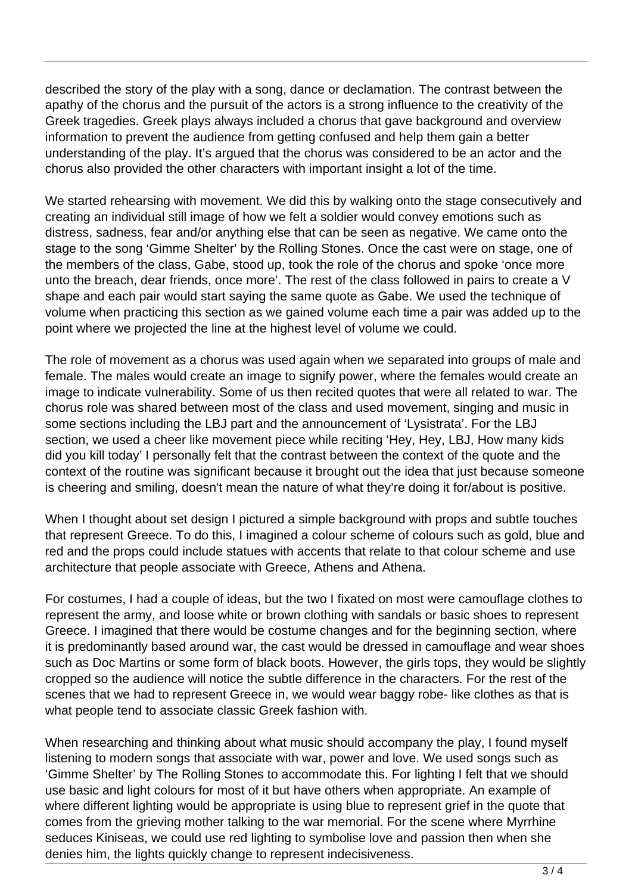described the story of the play with a song, dance or declamation. The contrast between the apathy of the chorus and the pursuit of the actors is a strong influence to the creativity of the Greek tragedies. Greek plays always included a chorus that gave background and overview information to prevent the audience from getting confused and help them gain a better understanding of the play. It's argued that the chorus was considered to be an actor and the chorus also provided the other characters with important insight a lot of the time.

We started rehearsing with movement. We did this by walking onto the stage consecutively and creating an individual still image of how we felt a soldier would convey emotions such as distress, sadness, fear and/or anything else that can be seen as negative. We came onto the stage to the song 'Gimme Shelter' by the Rolling Stones. Once the cast were on stage, one of the members of the class, Gabe, stood up, took the role of the chorus and spoke 'once more unto the breach, dear friends, once more'. The rest of the class followed in pairs to create a V shape and each pair would start saying the same quote as Gabe. We used the technique of volume when practicing this section as we gained volume each time a pair was added up to the point where we projected the line at the highest level of volume we could.

The role of movement as a chorus was used again when we separated into groups of male and female. The males would create an image to signify power, where the females would create an image to indicate vulnerability. Some of us then recited quotes that were all related to war. The chorus role was shared between most of the class and used movement, singing and music in some sections including the LBJ part and the announcement of 'Lysistrata'. For the LBJ section, we used a cheer like movement piece while reciting 'Hey, Hey, LBJ, How many kids did you kill today' I personally felt that the contrast between the context of the quote and the context of the routine was significant because it brought out the idea that just because someone is cheering and smiling, doesn't mean the nature of what they're doing it for/about is positive.

When I thought about set design I pictured a simple background with props and subtle touches that represent Greece. To do this, I imagined a colour scheme of colours such as gold, blue and red and the props could include statues with accents that relate to that colour scheme and use architecture that people associate with Greece, Athens and Athena.

For costumes, I had a couple of ideas, but the two I fixated on most were camouflage clothes to represent the army, and loose white or brown clothing with sandals or basic shoes to represent Greece. I imagined that there would be costume changes and for the beginning section, where it is predominantly based around war, the cast would be dressed in camouflage and wear shoes such as Doc Martins or some form of black boots. However, the girls tops, they would be slightly cropped so the audience will notice the subtle difference in the characters. For the rest of the scenes that we had to represent Greece in, we would wear baggy robe- like clothes as that is what people tend to associate classic Greek fashion with.

When researching and thinking about what music should accompany the play, I found myself listening to modern songs that associate with war, power and love. We used songs such as 'Gimme Shelter' by The Rolling Stones to accommodate this. For lighting I felt that we should use basic and light colours for most of it but have others when appropriate. An example of where different lighting would be appropriate is using blue to represent grief in the quote that comes from the grieving mother talking to the war memorial. For the scene where Myrrhine seduces Kiniseas, we could use red lighting to symbolise love and passion then when she denies him, the lights quickly change to represent indecisiveness.